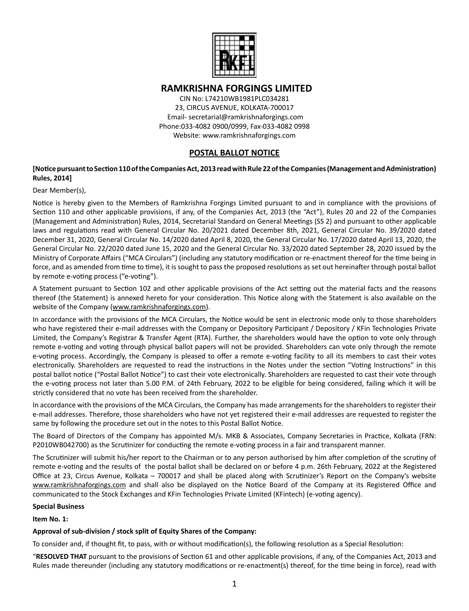

# **RAMKRISHNA FORGINGS LIMITED**

CIN No: L74210WB1981PLC034281 23, CIRCUS AVENUE, KOLKATA-700017 Email- secretarial@ramkrishnaforgings.com Phone:033-4082 0900/0999, Fax-033-4082 0998 Website: www.ramkrishnaforgings.com

# **POSTAL BALLOT NOTICE**

# **[Notice pursuant to Section 110 of the Companies Act, 2013 read with Rule 22 of the Companies (Management and Administration) Rules, 2014]**

# Dear Member(s),

Notice is hereby given to the Members of Ramkrishna Forgings Limited pursuant to and in compliance with the provisions of Section 110 and other applicable provisions, if any, of the Companies Act, 2013 (the "Act"), Rules 20 and 22 of the Companies (Management and Administration) Rules, 2014, Secretarial Standard on General Meetings (SS 2) and pursuant to other applicable laws and regulations read with General Circular No. 20/2021 dated December 8th, 2021, General Circular No. 39/2020 dated December 31, 2020, General Circular No. 14/2020 dated April 8, 2020, the General Circular No. 17/2020 dated April 13, 2020, the General Circular No. 22/2020 dated June 15, 2020 and the General Circular No. 33/2020 dated September 28, 2020 issued by the Ministry of Corporate Affairs ("MCA Circulars") (including any statutory modification or re-enactment thereof for the time being in force, and as amended from time to time), it is sought to pass the proposed resolutions as set out hereinafter through postal ballot by remote e-voting process ("e-voting").

A Statement pursuant to Section 102 and other applicable provisions of the Act setting out the material facts and the reasons thereof (the Statement) is annexed hereto for your consideration. This Notice along with the Statement is also available on the website of the Company (www.ramkrishnaforgings.com).

In accordance with the provisions of the MCA Circulars, the Notice would be sent in electronic mode only to those shareholders who have registered their e-mail addresses with the Company or Depository Participant / Depository / KFin Technologies Private Limited, the Company's Registrar & Transfer Agent (RTA). Further, the shareholders would have the option to vote only through remote e-voting and voting through physical ballot papers will not be provided. Shareholders can vote only through the remote e-voting process. Accordingly, the Company is pleased to offer a remote e-voting facility to all its members to cast their votes electronically. Shareholders are requested to read the instructions in the Notes under the section "Voting Instructions" in this postal ballot notice ("Postal Ballot Notice") to cast their vote electronically. Shareholders are requested to cast their vote through the e-voting process not later than 5.00 P.M. of 24th February, 2022 to be eligible for being considered, failing which it will be strictly considered that no vote has been received from the shareholder.

In accordance with the provisions of the MCA Circulars, the Company has made arrangements for the shareholders to register their e-mail addresses. Therefore, those shareholders who have not yet registered their e-mail addresses are requested to register the same by following the procedure set out in the notes to this Postal Ballot Notice.

The Board of Directors of the Company has appointed M/s. MKB & Associates, Company Secretaries in Practice, Kolkata (FRN: P2010WB042700) as the Scrutinizer for conducting the remote e-voting process in a fair and transparent manner.

The Scrutinizer will submit his/her report to the Chairman or to any person authorised by him after completion of the scrutiny of remote e-voting and the results of the postal ballot shall be declared on or before 4 p.m. 26th February, 2022 at the Registered Office at 23, Circus Avenue, Kolkata – 700017 and shall be placed along with Scrutinizer's Report on the Company's website www.ramkrishnaforgings.com and shall also be displayed on the Notice Board of the Company at its Registered Office and communicated to the Stock Exchanges and KFin Technologies Private Limited (KFintech) (e-voting agency).

# **Special Business**

# **Item No. 1:**

# **Approval of sub-division / stock split of Equity Shares of the Company:**

To consider and, if thought fit, to pass, with or without modification(s), the following resolution as a Special Resolution:

"**RESOLVED THAT** pursuant to the provisions of Section 61 and other applicable provisions, if any, of the Companies Act, 2013 and Rules made thereunder (including any statutory modifications or re-enactment(s) thereof, for the time being in force), read with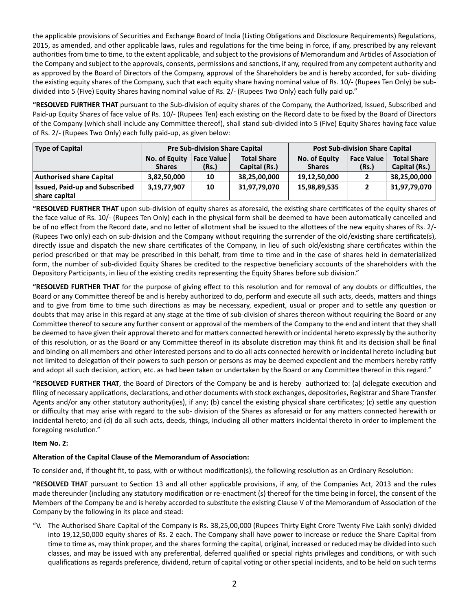the applicable provisions of Securities and Exchange Board of India (Listing Obligations and Disclosure Requirements) Regulations, 2015, as amended, and other applicable laws, rules and regulations for the time being in force, if any, prescribed by any relevant authorities from time to time, to the extent applicable, and subject to the provisions of Memorandum and Articles of Association of the Company and subject to the approvals, consents, permissions and sanctions, if any, required from any competent authority and as approved by the Board of Directors of the Company, approval of the Shareholders be and is hereby accorded, for sub- dividing the existing equity shares of the Company, such that each equity share having nominal value of Rs. 10/- (Rupees Ten Only) be subdivided into 5 (Five) Equity Shares having nominal value of Rs. 2/- (Rupees Two Only) each fully paid up."

**"RESOLVED FURTHER THAT** pursuant to the Sub-division of equity shares of the Company, the Authorized, Issued, Subscribed and Paid-up Equity Shares of face value of Rs. 10/- (Rupees Ten) each existing on the Record date to be fixed by the Board of Directors of the Company (which shall include any Committee thereof), shall stand sub-divided into 5 (Five) Equity Shares having face value of Rs. 2/- (Rupees Two Only) each fully paid-up, as given below:

| <b>Type of Capital</b>          | <b>Pre Sub-division Share Capital</b> |       |                    | <b>Post Sub-division Share Capital</b> |                   |                    |
|---------------------------------|---------------------------------------|-------|--------------------|----------------------------------------|-------------------|--------------------|
|                                 | No. of Equity   Face Value            |       | <b>Total Share</b> | No. of Equity                          | <b>Face Value</b> | <b>Total Share</b> |
|                                 | <b>Shares</b>                         | (Rs.) | Capital (Rs.)      | <b>Shares</b>                          | (Rs.)             | Capital (Rs.)      |
| <b>Authorised share Capital</b> | 3,82,50,000                           | 10    | 38,25,00,000       | 19,12,50,000                           |                   | 38,25,00,000       |
| Issued, Paid-up and Subscribed  | 3,19,77,907                           | 10    | 31,97,79,070       | 15,98,89,535                           |                   | 31,97,79,070       |
| share capital                   |                                       |       |                    |                                        |                   |                    |

**"RESOLVED FURTHER THAT** upon sub-division of equity shares as aforesaid, the existing share certificates of the equity shares of the face value of Rs. 10/- (Rupees Ten Only) each in the physical form shall be deemed to have been automatically cancelled and be of no effect from the Record date, and no letter of allotment shall be issued to the allottees of the new equity shares of Rs. 2/- (Rupees Two only) each on sub-division and the Company without requiring the surrender of the old/existing share certificate(s), directly issue and dispatch the new share certificates of the Company, in lieu of such old/existing share certificates within the period prescribed or that may be prescribed in this behalf, from time to time and in the case of shares held in dematerialized form, the number of sub-divided Equity Shares be credited to the respective beneficiary accounts of the shareholders with the Depository Participants, in lieu of the existing credits representing the Equity Shares before sub division."

**"RESOLVED FURTHER THAT** for the purpose of giving effect to this resolution and for removal of any doubts or difficulties, the Board or any Committee thereof be and is hereby authorized to do, perform and execute all such acts, deeds, matters and things and to give from time to time such directions as may be necessary, expedient, usual or proper and to settle any question or doubts that may arise in this regard at any stage at the time of sub-division of shares thereon without requiring the Board or any Committee thereof to secure any further consent or approval of the members of the Company to the end and intent that they shall be deemed to have given their approval thereto and for matters connected herewith or incidental hereto expressly by the authority of this resolution, or as the Board or any Committee thereof in its absolute discretion may think fit and its decision shall be final and binding on all members and other interested persons and to do all acts connected herewith or incidental hereto including but not limited to delegation of their powers to such person or persons as may be deemed expedient and the members hereby ratify and adopt all such decision, action, etc. as had been taken or undertaken by the Board or any Committee thereof in this regard."

**"RESOLVED FURTHER THAT**, the Board of Directors of the Company be and is hereby authorized to: (a) delegate execution and filing of necessary applications, declarations, and other documents with stock exchanges, depositories, Registrar and Share Transfer Agents and/or any other statutory authority(ies), if any; (b) cancel the existing physical share certificates; (c) settle any question or difficulty that may arise with regard to the sub- division of the Shares as aforesaid or for any matters connected herewith or incidental hereto; and (d) do all such acts, deeds, things, including all other matters incidental thereto in order to implement the foregoing resolution."

# **Item No. 2:**

# **Alteration of the Capital Clause of the Memorandum of Association:**

To consider and, if thought fit, to pass, with or without modification(s), the following resolution as an Ordinary Resolution:

**"RESOLVED THAT** pursuant to Section 13 and all other applicable provisions, if any, of the Companies Act, 2013 and the rules made thereunder (including any statutory modification or re-enactment (s) thereof for the time being in force), the consent of the Members of the Company be and is hereby accorded to substitute the existing Clause V of the Memorandum of Association of the Company by the following in its place and stead:

"V. The Authorised Share Capital of the Company is Rs. 38,25,00,000 (Rupees Thirty Eight Crore Twenty Five Lakh sonly) divided into 19,12,50,000 equity shares of Rs. 2 each. The Company shall have power to increase or reduce the Share Capital from time to time as, may think proper, and the shares forming the capital, original, increased or reduced may be divided into such classes, and may be issued with any preferential, deferred qualified or special rights privileges and conditions, or with such qualifications as regards preference, dividend, return of capital voting or other special incidents, and to be held on such terms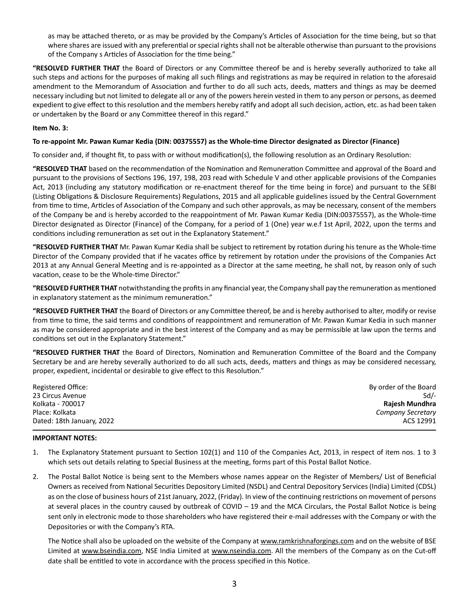as may be attached thereto, or as may be provided by the Company's Articles of Association for the time being, but so that where shares are issued with any preferential or special rights shall not be alterable otherwise than pursuant to the provisions of the Company s Articles of Association for the time being."

**"RESOLVED FURTHER THAT** the Board of Directors or any Committee thereof be and is hereby severally authorized to take all such steps and actions for the purposes of making all such filings and registrations as may be required in relation to the aforesaid amendment to the Memorandum of Association and further to do all such acts, deeds, matters and things as may be deemed necessary including but not limited to delegate all or any of the powers herein vested in them to any person or persons, as deemed expedient to give effect to this resolution and the members hereby ratify and adopt all such decision, action, etc. as had been taken or undertaken by the Board or any Committee thereof in this regard."

### **Item No. 3:**

### **To re-appoint Mr. Pawan Kumar Kedia (DIN: 00375557) as the Whole-time Director designated as Director (Finance)**

To consider and, if thought fit, to pass with or without modification(s), the following resolution as an Ordinary Resolution:

**"RESOLVED THAT** based on the recommendation of the Nomination and Remuneration Committee and approval of the Board and pursuant to the provisions of Sections 196, 197, 198, 203 read with Schedule V and other applicable provisions of the Companies Act, 2013 (including any statutory modification or re-enactment thereof for the time being in force) and pursuant to the SEBI (Listing Obligations & Disclosure Requirements) Regulations, 2015 and all applicable guidelines issued by the Central Government from time to time, Articles of Association of the Company and such other approvals, as may be necessary, consent of the members of the Company be and is hereby accorded to the reappointment of Mr. Pawan Kumar Kedia (DIN:00375557), as the Whole-time Director designated as Director (Finance) of the Company, for a period of 1 (One) year w.e.f 1st April, 2022, upon the terms and conditions including remuneration as set out in the Explanatory Statement."

**"RESOLVED FURTHER THAT** Mr. Pawan Kumar Kedia shall be subject to retirement by rotation during his tenure as the Whole-time Director of the Company provided that if he vacates office by retirement by rotation under the provisions of the Companies Act 2013 at any Annual General Meeting and is re-appointed as a Director at the same meeting, he shall not, by reason only of such vacation, cease to be the Whole-time Director."

**"RESOLVED FURTHER THAT** notwithstanding the profits in any financial year, the Company shall pay the remuneration as mentioned in explanatory statement as the minimum remuneration."

**"RESOLVED FURTHER THAT** the Board of Directors or any Committee thereof, be and is hereby authorised to alter, modify or revise from time to time, the said terms and conditions of reappointment and remuneration of Mr. Pawan Kumar Kedia in such manner as may be considered appropriate and in the best interest of the Company and as may be permissible at law upon the terms and conditions set out in the Explanatory Statement."

**"RESOLVED FURTHER THAT** the Board of Directors, Nomination and Remuneration Committee of the Board and the Company Secretary be and are hereby severally authorized to do all such acts, deeds, matters and things as may be considered necessary, proper, expedient, incidental or desirable to give effect to this Resolution."

| Registered Office:        | By order of the Board |
|---------------------------|-----------------------|
| 23 Circus Avenue          | $Sd$ /-               |
| Kolkata - 700017          | Rajesh Mundhra        |
| Place: Kolkata            | Company Secretary     |
| Dated: 18th January, 2022 | ACS 12991             |

#### **IMPORTANT NOTES:**

- 1. The Explanatory Statement pursuant to Section 102(1) and 110 of the Companies Act, 2013, in respect of item nos. 1 to 3 which sets out details relating to Special Business at the meeting, forms part of this Postal Ballot Notice.
- 2. The Postal Ballot Notice is being sent to the Members whose names appear on the Register of Members/ List of Beneficial Owners as received from National Securities Depository Limited (NSDL) and Central Depository Services (India) Limited (CDSL) as on the close of business hours of 21st January, 2022, (Friday). In view of the continuing restrictions on movement of persons at several places in the country caused by outbreak of COVID – 19 and the MCA Circulars, the Postal Ballot Notice is being sent only in electronic mode to those shareholders who have registered their e-mail addresses with the Company or with the Depositories or with the Company's RTA.

The Notice shall also be uploaded on the website of the Company at www.ramkrishnaforgings.com and on the website of BSE Limited at www.bseindia.com, NSE India Limited at www.nseindia.com. All the members of the Company as on the Cut-off date shall be entitled to vote in accordance with the process specified in this Notice.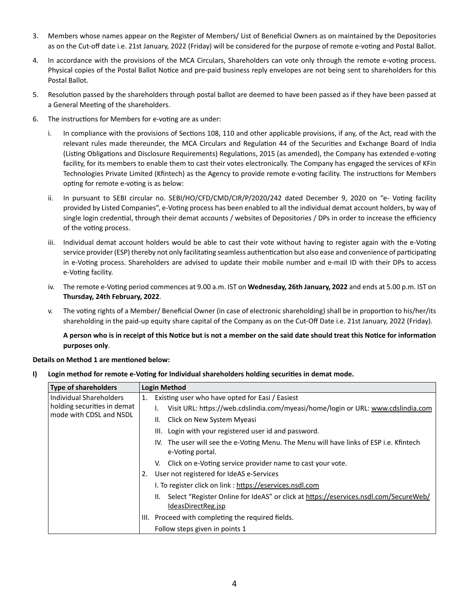- 3. Members whose names appear on the Register of Members/ List of Beneficial Owners as on maintained by the Depositories as on the Cut-off date i.e. 21st January, 2022 (Friday) will be considered for the purpose of remote e-voting and Postal Ballot.
- 4. In accordance with the provisions of the MCA Circulars, Shareholders can vote only through the remote e-voting process. Physical copies of the Postal Ballot Notice and pre-paid business reply envelopes are not being sent to shareholders for this Postal Ballot.
- 5. Resolution passed by the shareholders through postal ballot are deemed to have been passed as if they have been passed at a General Meeting of the shareholders.
- 6. The instructions for Members for e-voting are as under:
	- i. In compliance with the provisions of Sections 108, 110 and other applicable provisions, if any, of the Act, read with the relevant rules made thereunder, the MCA Circulars and Regulation 44 of the Securities and Exchange Board of India (Listing Obligations and Disclosure Requirements) Regulations, 2015 (as amended), the Company has extended e-voting facility, for its members to enable them to cast their votes electronically. The Company has engaged the services of KFin Technologies Private Limited (Kfintech) as the Agency to provide remote e-voting facility. The instructions for Members opting for remote e-voting is as below:
	- ii. In pursuant to SEBI circular no. SEBI/HO/CFD/CMD/CIR/P/2020/242 dated December 9, 2020 on "e- Voting facility provided by Listed Companies", e-Voting process has been enabled to all the individual demat account holders, by way of single login credential, through their demat accounts / websites of Depositories / DPs in order to increase the efficiency of the voting process.
	- iii. Individual demat account holders would be able to cast their vote without having to register again with the e-Voting service provider (ESP) thereby not only facilitating seamless authentication but also ease and convenience of participating in e-Voting process. Shareholders are advised to update their mobile number and e-mail ID with their DPs to access e-Voting facility.
	- iv. The remote e-Voting period commences at 9.00 a.m. IST on **Wednesday, 26th January, 2022** and ends at 5.00 p.m. IST on **Thursday, 24th February, 2022**.
	- v. The voting rights of a Member/ Beneficial Owner (in case of electronic shareholding) shall be in proportion to his/her/its shareholding in the paid-up equity share capital of the Company as on the Cut-Off Date i.e. 21st January, 2022 (Friday).

 **A person who is in receipt of this Notice but is not a member on the said date should treat this Notice for information purposes only**.

# **Details on Method 1 are mentioned below:**

**I) Login method for remote e-Voting for Individual shareholders holding securities in demat mode.**

| <b>Type of shareholders</b> | <b>Login Method</b>                                   |                                                                                                                |  |
|-----------------------------|-------------------------------------------------------|----------------------------------------------------------------------------------------------------------------|--|
| Individual Shareholders     | Existing user who have opted for Easi / Easiest<br>1. |                                                                                                                |  |
| holding securities in demat |                                                       | Visit URL: https://web.cdslindia.com/myeasi/home/login or URL: www.cdslindia.com                               |  |
| mode with CDSL and NSDL     |                                                       | II. Click on New System Myeasi                                                                                 |  |
|                             |                                                       | III. Login with your registered user id and password.                                                          |  |
|                             |                                                       | IV. The user will see the e-Voting Menu. The Menu will have links of ESP i.e. Kfintech<br>e-Voting portal.     |  |
|                             |                                                       | V. Click on e-Voting service provider name to cast your vote.                                                  |  |
|                             | 2.                                                    | User not registered for IdeAS e-Services                                                                       |  |
|                             |                                                       | I. To register click on link : https://eservices.nsdl.com                                                      |  |
|                             |                                                       | II. Select "Register Online for IdeAS" or click at https://eservices.nsdl.com/SecureWeb/<br>IdeasDirectReg.jsp |  |
|                             |                                                       | III. Proceed with completing the required fields.                                                              |  |
|                             |                                                       | Follow steps given in points 1                                                                                 |  |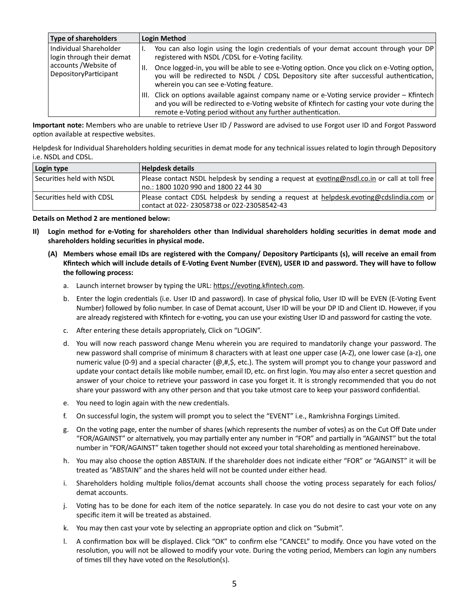| <b>Type of shareholders</b>                                                                           | <b>Login Method</b>                                                                                                                                                                                                                                            |
|-------------------------------------------------------------------------------------------------------|----------------------------------------------------------------------------------------------------------------------------------------------------------------------------------------------------------------------------------------------------------------|
| Individual Shareholder<br>login through their demat<br>accounts / Website of<br>DepositoryParticipant | You can also login using the login credentials of your demat account through your DP<br>registered with NSDL / CDSL for e-Voting facility.                                                                                                                     |
|                                                                                                       | Once logged-in, you will be able to see e-Voting option. Once you click on e-Voting option,<br>you will be redirected to NSDL / CDSL Depository site after successful authentication,  <br>wherein you can see e-Voting feature.                               |
|                                                                                                       | Click on options available against company name or e-Voting service provider $-$ Kfintech<br>III.<br>and you will be redirected to e-Voting website of Kfintech for casting your vote during the<br>remote e-Voting period without any further authentication. |

**Important note:** Members who are unable to retrieve User ID / Password are advised to use Forgot user ID and Forgot Password option available at respective websites.

Helpdesk for Individual Shareholders holding securities in demat mode for any technical issues related to login through Depository i.e. NSDL and CDSL.

| Login type                  | Helpdesk details                                                                                                                     |
|-----------------------------|--------------------------------------------------------------------------------------------------------------------------------------|
| l Securities held with NSDL | Please contact NSDL helpdesk by sending a request at evoting@nsdl.co.in or call at toll free<br>no.: 1800 1020 990 and 1800 22 44 30 |
| Securities held with CDSL   | Please contact CDSL helpdesk by sending a request at helpdesk.evoting@cdslindia.com or<br>contact at 022-23058738 or 022-23058542-43 |

#### **Details on Method 2 are mentioned below:**

- **II) Login method for e-Voting for shareholders other than Individual shareholders holding securities in demat mode and shareholders holding securities in physical mode.**
	- **(A) Members whose email IDs are registered with the Company/ Depository Participants (s), will receive an email from Kfintech which will include details of E-Voting Event Number (EVEN), USER ID and password. They will have to follow the following process:**
		- a. Launch internet browser by typing the URL: https://evoting.kfintech.com.
		- b. Enter the login credentials (i.e. User ID and password). In case of physical folio, User ID will be EVEN (E-Voting Event Number) followed by folio number. In case of Demat account, User ID will be your DP ID and Client ID. However, if you are already registered with Kfintech for e-voting, you can use your existing User ID and password for casting the vote.
		- c. After entering these details appropriately, Click on "LOGIN".
		- d. You will now reach password change Menu wherein you are required to mandatorily change your password. The new password shall comprise of minimum 8 characters with at least one upper case (A-Z), one lower case (a-z), one numeric value (0-9) and a special character ( $@, #,$ \$, etc.). The system will prompt you to change your password and update your contact details like mobile number, email ID, etc. on first login. You may also enter a secret question and answer of your choice to retrieve your password in case you forget it. It is strongly recommended that you do not share your password with any other person and that you take utmost care to keep your password confidential.
		- e. You need to login again with the new credentials.
		- f. On successful login, the system will prompt you to select the "EVENT" i.e., Ramkrishna Forgings Limited.
		- g. On the voting page, enter the number of shares (which represents the number of votes) as on the Cut Off Date under "FOR/AGAINST" or alternatively, you may partially enter any number in "FOR" and partially in "AGAINST" but the total number in "FOR/AGAINST" taken together should not exceed your total shareholding as mentioned hereinabove.
		- h. You may also choose the option ABSTAIN. If the shareholder does not indicate either "FOR" or "AGAINST" it will be treated as "ABSTAIN" and the shares held will not be counted under either head.
		- i. Shareholders holding multiple folios/demat accounts shall choose the voting process separately for each folios/ demat accounts.
		- j. Voting has to be done for each item of the notice separately. In case you do not desire to cast your vote on any specific item it will be treated as abstained.
		- k. You may then cast your vote by selecting an appropriate option and click on "Submit".
		- l. A confirmation box will be displayed. Click "OK" to confirm else "CANCEL" to modify. Once you have voted on the resolution, you will not be allowed to modify your vote. During the voting period, Members can login any numbers of times till they have voted on the Resolution(s).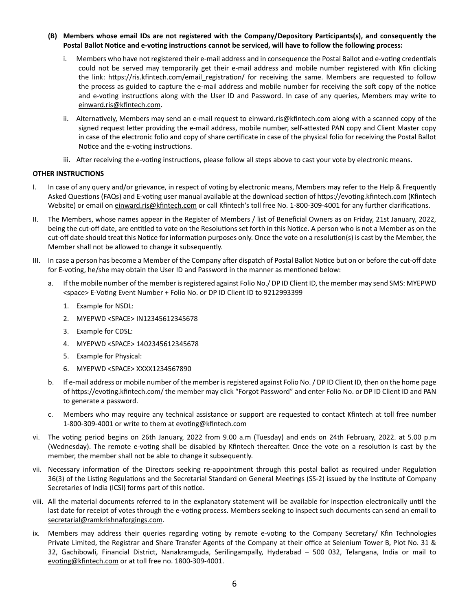- **(B) Members whose email IDs are not registered with the Company/Depository Participants(s), and consequently the Postal Ballot Notice and e-voting instructions cannot be serviced, will have to follow the following process:**
	- i. Members who have not registered their e-mail address and in consequence the Postal Ballot and e-voting credentials could not be served may temporarily get their e-mail address and mobile number registered with Kfin clicking the link: https://ris.kfintech.com/email registration/ for receiving the same. Members are requested to follow the process as guided to capture the e-mail address and mobile number for receiving the soft copy of the notice and e-voting instructions along with the User ID and Password. In case of any queries, Members may write to einward.ris@kfintech.com.
	- ii. Alternatively, Members may send an e-mail request to einward.ris@kfintech.com along with a scanned copy of the signed request letter providing the e-mail address, mobile number, self-attested PAN copy and Client Master copy in case of the electronic folio and copy of share certificate in case of the physical folio for receiving the Postal Ballot Notice and the e-voting instructions.
	- iii. After receiving the e-voting instructions, please follow all steps above to cast your vote by electronic means.

### **OTHER INSTRUCTIONS**

- I. In case of any query and/or grievance, in respect of voting by electronic means, Members may refer to the Help & Frequently Asked Questions (FAQs) and E-voting user manual available at the download section of https://evoting.kfintech.com (Kfintech Website) or email on einward.ris@kfintech.com or call Kfintech's toll free No. 1-800-309-4001 for any further clarifications.
- II. The Members, whose names appear in the Register of Members / list of Beneficial Owners as on Friday, 21st January, 2022, being the cut-off date, are entitled to vote on the Resolutions set forth in this Notice. A person who is not a Member as on the cut-off date should treat this Notice for information purposes only. Once the vote on a resolution(s) is cast by the Member, the Member shall not be allowed to change it subsequently.
- III. In case a person has become a Member of the Company after dispatch of Postal Ballot Notice but on or before the cut-off date for E-voting, he/she may obtain the User ID and Password in the manner as mentioned below:
	- a. If the mobile number of the member is registered against Folio No./ DP ID Client ID, the member may send SMS: MYEPWD <space> E-Voting Event Number + Folio No. or DP ID Client ID to 9212993399
		- 1. Example for NSDL:
		- 2. MYEPWD <SPACE> IN12345612345678
		- 3. Example for CDSL:
		- 4. MYEPWD <SPACE> 1402345612345678
		- 5. Example for Physical:
		- 6. MYEPWD <SPACE> XXXX1234567890
	- b. If e-mail address or mobile number of the member is registered against Folio No. / DP ID Client ID, then on the home page of https://evoting.kfintech.com/ the member may click "Forgot Password" and enter Folio No. or DP ID Client ID and PAN to generate a password.
	- c. Members who may require any technical assistance or support are requested to contact Kfintech at toll free number 1-800-309-4001 or write to them at evoting@kfintech.com
- vi. The voting period begins on 26th January, 2022 from 9.00 a.m (Tuesday) and ends on 24th February, 2022. at 5.00 p.m (Wednesday). The remote e-voting shall be disabled by Kfintech thereafter. Once the vote on a resolution is cast by the member, the member shall not be able to change it subsequently.
- vii. Necessary information of the Directors seeking re-appointment through this postal ballot as required under Regulation 36(3) of the Listing Regulations and the Secretarial Standard on General Meetings (SS-2) issued by the Institute of Company Secretaries of India (ICSI) forms part of this notice.
- viii. All the material documents referred to in the explanatory statement will be available for inspection electronically until the last date for receipt of votes through the e-voting process. Members seeking to inspect such documents can send an email to secretarial@ramkrishnaforgings.com.
- ix. Members may address their queries regarding voting by remote e-voting to the Company Secretary/ Kfin Technologies Private Limited, the Registrar and Share Transfer Agents of the Company at their office at Selenium Tower B, Plot No. 31 & 32, Gachibowli, Financial District, Nanakramguda, Serilingampally, Hyderabad – 500 032, Telangana, India or mail to evoting@kfintech.com or at toll free no. 1800-309-4001.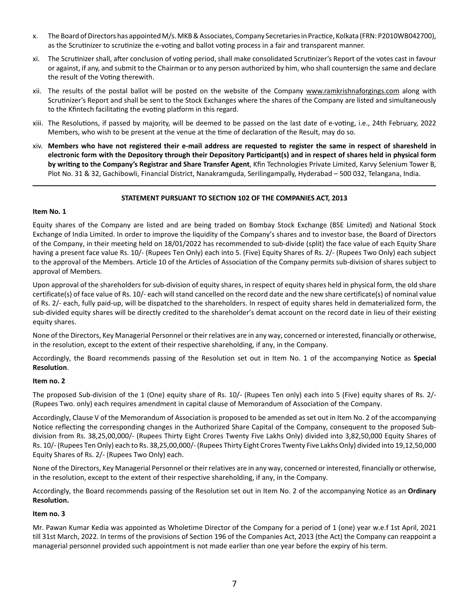- x. The Board of Directors has appointed M/s. MKB & Associates, Company Secretaries in Practice, Kolkata (FRN: P2010WB042700), as the Scrutinizer to scrutinize the e-voting and ballot voting process in a fair and transparent manner.
- xi. The Scrutinizer shall, after conclusion of voting period, shall make consolidated Scrutinizer's Report of the votes cast in favour or against, if any, and submit to the Chairman or to any person authorized by him, who shall countersign the same and declare the result of the Voting therewith.
- xii. The results of the postal ballot will be posted on the website of the Company www.ramkrishnaforgings.com along with Scrutinizer's Report and shall be sent to the Stock Exchanges where the shares of the Company are listed and simultaneously to the Kfintech facilitating the evoting platform in this regard.
- xiii. The Resolutions, if passed by majority, will be deemed to be passed on the last date of e-voting, i.e., 24th February, 2022 Members, who wish to be present at the venue at the time of declaration of the Result, may do so.
- xiv. **Members who have not registered their e-mail address are requested to register the same in respect of sharesheld in electronic form with the Depository through their Depository Participant(s) and in respect of shares held in physical form by writing to the Company's Registrar and Share Transfer Agent**, Kfin Technologies Private Limited, Karvy Selenium Tower B, Plot No. 31 & 32, Gachibowli, Financial District, Nanakramguda, Serilingampally, Hyderabad – 500 032, Telangana, India.

# **STATEMENT PURSUANT TO SECTION 102 OF THE COMPANIES ACT, 2013**

# **Item No. 1**

Equity shares of the Company are listed and are being traded on Bombay Stock Exchange (BSE Limited) and National Stock Exchange of India Limited. In order to improve the liquidity of the Company's shares and to investor base, the Board of Directors of the Company, in their meeting held on 18/01/2022 has recommended to sub-divide (split) the face value of each Equity Share having a present face value Rs. 10/- (Rupees Ten Only) each into 5. (Five) Equity Shares of Rs. 2/- (Rupees Two Only) each subject to the approval of the Members. Article 10 of the Articles of Association of the Company permits sub-division of shares subject to approval of Members.

Upon approval of the shareholders for sub-division of equity shares, in respect of equity shares held in physical form, the old share certificate(s) of face value of Rs. 10/- each will stand cancelled on the record date and the new share certificate(s) of nominal value of Rs. 2/- each, fully paid-up, will be dispatched to the shareholders. In respect of equity shares held in dematerialized form, the sub-divided equity shares will be directly credited to the shareholder's demat account on the record date in lieu of their existing equity shares.

None of the Directors, Key Managerial Personnel or their relatives are in any way, concerned or interested, financially or otherwise, in the resolution, except to the extent of their respective shareholding, if any, in the Company.

Accordingly, the Board recommends passing of the Resolution set out in Item No. 1 of the accompanying Notice as **Special Resolution**.

# **Item no. 2**

The proposed Sub-division of the 1 (One) equity share of Rs. 10/- (Rupees Ten only) each into 5 (Five) equity shares of Rs. 2/- (Rupees Two. only) each requires amendment in capital clause of Memorandum of Association of the Company.

Accordingly, Clause V of the Memorandum of Association is proposed to be amended as set out in Item No. 2 of the accompanying Notice reflecting the corresponding changes in the Authorized Share Capital of the Company, consequent to the proposed Subdivision from Rs. 38,25,00,000/- (Rupees Thirty Eight Crores Twenty Five Lakhs Only) divided into 3,82,50,000 Equity Shares of Rs. 10/- (Rupees Ten Only) each to Rs. 38,25,00,000/- (Rupees Thirty Eight Crores Twenty Five Lakhs Only) divided into 19,12,50,000 Equity Shares of Rs. 2/- (Rupees Two Only) each.

None of the Directors, Key Managerial Personnel or their relatives are in any way, concerned or interested, financially or otherwise, in the resolution, except to the extent of their respective shareholding, if any, in the Company.

Accordingly, the Board recommends passing of the Resolution set out in Item No. 2 of the accompanying Notice as an **Ordinary Resolution.**

#### **Item no. 3**

Mr. Pawan Kumar Kedia was appointed as Wholetime Director of the Company for a period of 1 (one) year w.e.f 1st April, 2021 till 31st March, 2022. In terms of the provisions of Section 196 of the Companies Act, 2013 (the Act) the Company can reappoint a managerial personnel provided such appointment is not made earlier than one year before the expiry of his term.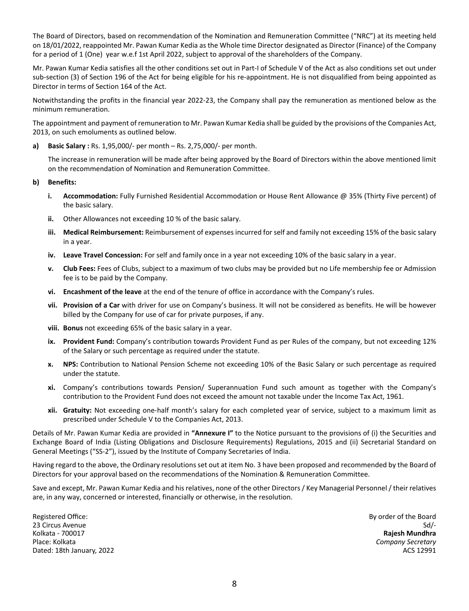The Board of Directors, based on recommendation of the Nomination and Remuneration Committee ("NRC") at its meeting held on 18/01/2022, reappointed Mr. Pawan Kumar Kedia as the Whole time Director designated as Director (Finance) of the Company for a period of 1 (One) year w.e.f 1st April 2022, subject to approval of the shareholders of the Company.

Mr. Pawan Kumar Kedia satisfies all the other conditions set out in Part-I of Schedule V of the Act as also conditions set out under sub-section (3) of Section 196 of the Act for being eligible for his re-appointment. He is not disqualified from being appointed as Director in terms of Section 164 of the Act.

Notwithstanding the profits in the financial year 2022-23, the Company shall pay the remuneration as mentioned below as the minimum remuneration.

The appointment and payment of remuneration to Mr. Pawan Kumar Kedia shall be guided by the provisions of the Companies Act, 2013, on such emoluments as outlined below.

**a) Basic Salary :** Rs. 1,95,000/- per month – Rs. 2,75,000/- per month.

The increase in remuneration will be made after being approved by the Board of Directors within the above mentioned limit on the recommendation of Nomination and Remuneration Committee.

### **b) Benefits:**

- **i. Accommodation:** Fully Furnished Residential Accommodation or House Rent Allowance @ 35% (Thirty Five percent) of the basic salary.
- **ii.** Other Allowances not exceeding 10 % of the basic salary.
- **iii. Medical Reimbursement:** Reimbursement of expenses incurred for self and family not exceeding 15% of the basic salary in a year.
- **iv. Leave Travel Concession:** For self and family once in a year not exceeding 10% of the basic salary in a year.
- **v. Club Fees:** Fees of Clubs, subject to a maximum of two clubs may be provided but no Life membership fee or Admission fee is to be paid by the Company.
- **vi. Encashment of the leave** at the end of the tenure of office in accordance with the Company's rules.
- **vii. Provision of a Car** with driver for use on Company's business. It will not be considered as benefits. He will be however billed by the Company for use of car for private purposes, if any.
- **viii. Bonus** not exceeding 65% of the basic salary in a year.
- **ix. Provident Fund:** Company's contribution towards Provident Fund as per Rules of the company, but not exceeding 12% of the Salary or such percentage as required under the statute.
- **x. NPS:** Contribution to National Pension Scheme not exceeding 10% of the Basic Salary or such percentage as required under the statute.
- **xi.** Company's contributions towards Pension/ Superannuation Fund such amount as together with the Company's contribution to the Provident Fund does not exceed the amount not taxable under the Income Tax Act, 1961.
- **xii. Gratuity:** Not exceeding one-half month's salary for each completed year of service, subject to a maximum limit as prescribed under Schedule V to the Companies Act, 2013.

Details of Mr. Pawan Kumar Kedia are provided in **"Annexure I"** to the Notice pursuant to the provisions of (i) the Securities and Exchange Board of India (Listing Obligations and Disclosure Requirements) Regulations, 2015 and (ii) Secretarial Standard on General Meetings ("SS-2"), issued by the Institute of Company Secretaries of India.

Having regard to the above, the Ordinary resolutions set out at item No. 3 have been proposed and recommended by the Board of Directors for your approval based on the recommendations of the Nomination & Remuneration Committee.

Save and except, Mr. Pawan Kumar Kedia and his relatives, none of the other Directors / Key Managerial Personnel / their relatives are, in any way, concerned or interested, financially or otherwise, in the resolution.

Registered Office: **By order of the Board** 23 Circus Avenue Sd/- Kolkata - 700017 **Rajesh Mundhra** Place: Kolkata *Company Secretary* Dated: 18th January, 2022